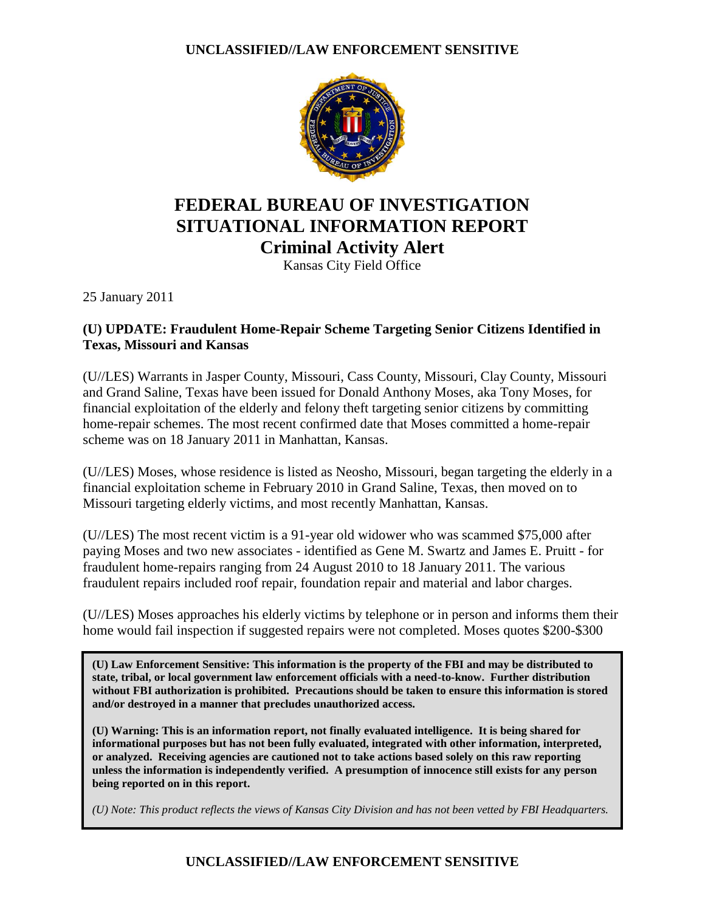

# **FEDERAL BUREAU OF INVESTIGATION SITUATIONAL INFORMATION REPORT Criminal Activity Alert**

Kansas City Field Office

25 January 2011

#### **(U) UPDATE: Fraudulent Home-Repair Scheme Targeting Senior Citizens Identified in Texas, Missouri and Kansas**

(U//LES) Warrants in Jasper County, Missouri, Cass County, Missouri, Clay County, Missouri and Grand Saline, Texas have been issued for Donald Anthony Moses, aka Tony Moses, for financial exploitation of the elderly and felony theft targeting senior citizens by committing home-repair schemes. The most recent confirmed date that Moses committed a home-repair scheme was on 18 January 2011 in Manhattan, Kansas.

(U//LES) Moses, whose residence is listed as Neosho, Missouri, began targeting the elderly in a financial exploitation scheme in February 2010 in Grand Saline, Texas, then moved on to Missouri targeting elderly victims, and most recently Manhattan, Kansas.

(U//LES) The most recent victim is a 91-year old widower who was scammed \$75,000 after paying Moses and two new associates - identified as Gene M. Swartz and James E. Pruitt - for fraudulent home-repairs ranging from 24 August 2010 to 18 January 2011. The various fraudulent repairs included roof repair, foundation repair and material and labor charges.

(U//LES) Moses approaches his elderly victims by telephone or in person and informs them their home would fail inspection if suggested repairs were not completed. Moses quotes \$200-\$300

**(U) Law Enforcement Sensitive: This information is the property of the FBI and may be distributed to state, tribal, or local government law enforcement officials with a need-to-know. Further distribution without FBI authorization is prohibited. Precautions should be taken to ensure this information is stored and/or destroyed in a manner that precludes unauthorized access.** 

**(U) Warning: This is an information report, not finally evaluated intelligence. It is being shared for informational purposes but has not been fully evaluated, integrated with other information, interpreted, or analyzed. Receiving agencies are cautioned not to take actions based solely on this raw reporting unless the information is independently verified. A presumption of innocence still exists for any person being reported on in this report.** 

*(U) Note: This product reflects the views of Kansas City Division and has not been vetted by FBI Headquarters.*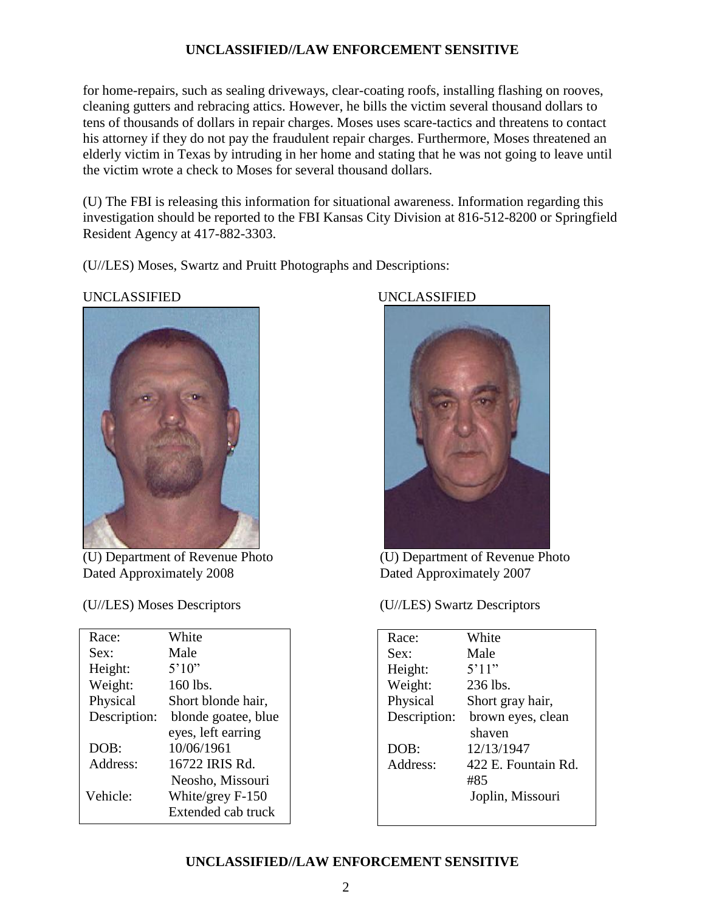for home-repairs, such as sealing driveways, clear-coating roofs, installing flashing on rooves, cleaning gutters and rebracing attics. However, he bills the victim several thousand dollars to tens of thousands of dollars in repair charges. Moses uses scare-tactics and threatens to contact his attorney if they do not pay the fraudulent repair charges. Furthermore, Moses threatened an elderly victim in Texas by intruding in her home and stating that he was not going to leave until the victim wrote a check to Moses for several thousand dollars.

(U) The FBI is releasing this information for situational awareness. Information regarding this investigation should be reported to the FBI Kansas City Division at 816-512-8200 or Springfield Resident Agency at 417-882-3303.

(U//LES) Moses, Swartz and Pruitt Photographs and Descriptions:



(U) Department of Revenue Photo Dated Approximately 2008 Dated Approximately 2007

| Race:        | White               |
|--------------|---------------------|
| Sex:         | Male                |
| Height:      | 5'10''              |
| Weight:      | 160 lbs.            |
| Physical     | Short blonde hair,  |
| Description: | blonde goatee, blue |
|              | eyes, left earring  |
| DOB:         | 10/06/1961          |
| Address:     | 16722 IRIS Rd.      |
|              | Neosho, Missouri    |
| Vehicle:     | White/grey $F-150$  |
|              | Extended cab truck  |

#### UNCLASSIFIED UNCLASSIFIED



(U) Department of Revenue Photo (U) Department of Revenue Photo

(U//LES) Moses Descriptors (U//LES) Swartz Descriptors

| Race:        | White               |
|--------------|---------------------|
| Sex:         | Male                |
| Height:      | 5'11"               |
| Weight:      | 236 lbs.            |
| Physical     | Short gray hair,    |
| Description: | brown eyes, clean   |
|              | shaven              |
| DOB:         | 12/13/1947          |
| Address:     | 422 E. Fountain Rd. |
|              | #85                 |
|              | Joplin, Missouri    |
|              |                     |

#### **UNCLASSIFIED//LAW ENFORCEMENT SENSITIVE**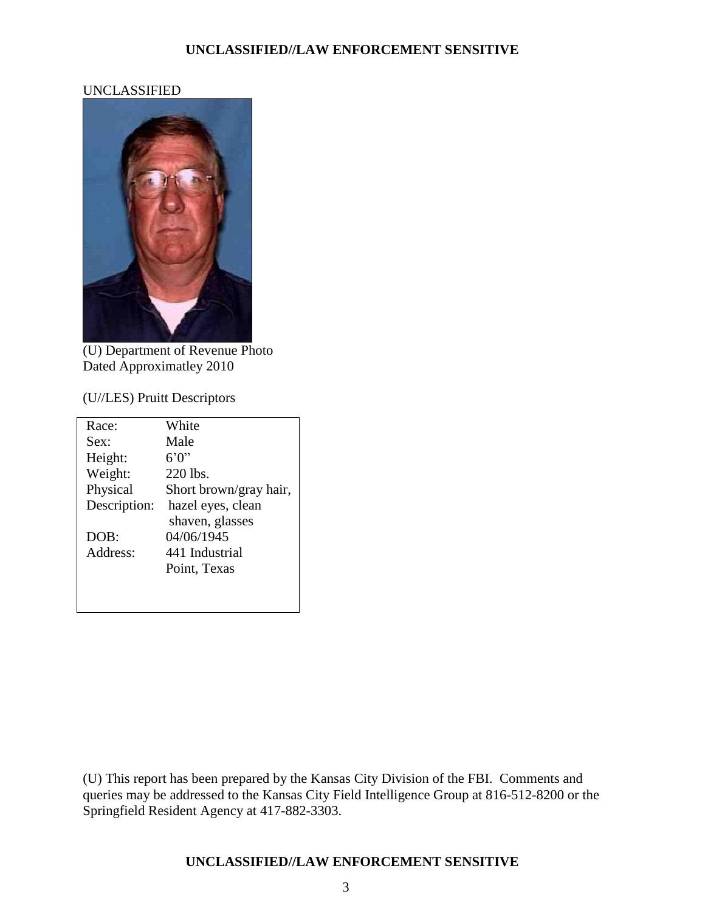#### UNCLASSIFIED



(U) Department of Revenue Photo Dated Approximatley 2010

#### (U//LES) Pruitt Descriptors

| Race:        | White                  |
|--------------|------------------------|
| Sex:         | Male                   |
| Height:      | 6'0''                  |
| Weight:      | 220 lbs.               |
| Physical     | Short brown/gray hair, |
| Description: | hazel eyes, clean      |
|              | shaven, glasses        |
| DOB:         | 04/06/1945             |
| Address:     | 441 Industrial         |
|              | Point, Texas           |
|              |                        |
|              |                        |

(U) This report has been prepared by the Kansas City Division of the FBI. Comments and queries may be addressed to the Kansas City Field Intelligence Group at 816-512-8200 or the Springfield Resident Agency at 417-882-3303.

#### **UNCLASSIFIED//LAW ENFORCEMENT SENSITIVE**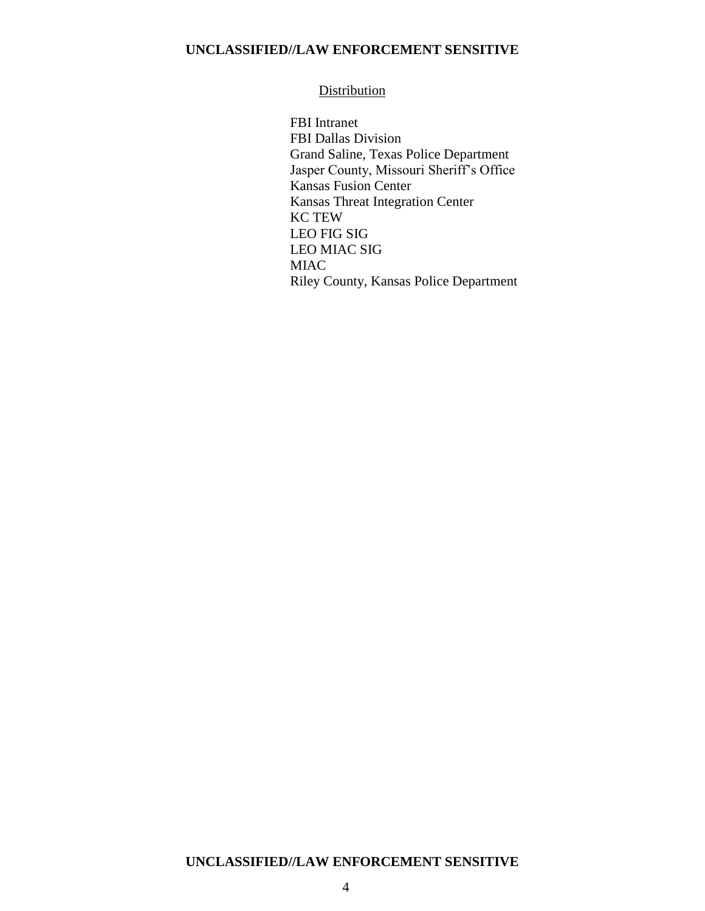#### **Distribution**

FBI Intranet FBI Dallas Division Grand Saline, Texas Police Department Jasper County, Missouri Sheriff's Office Kansas Fusion Center Kansas Threat Integration Center KC TEW LEO FIG SIG LEO MIAC SIG MIAC Riley County, Kansas Police Department

#### **UNCLASSIFIED//LAW ENFORCEMENT SENSITIVE**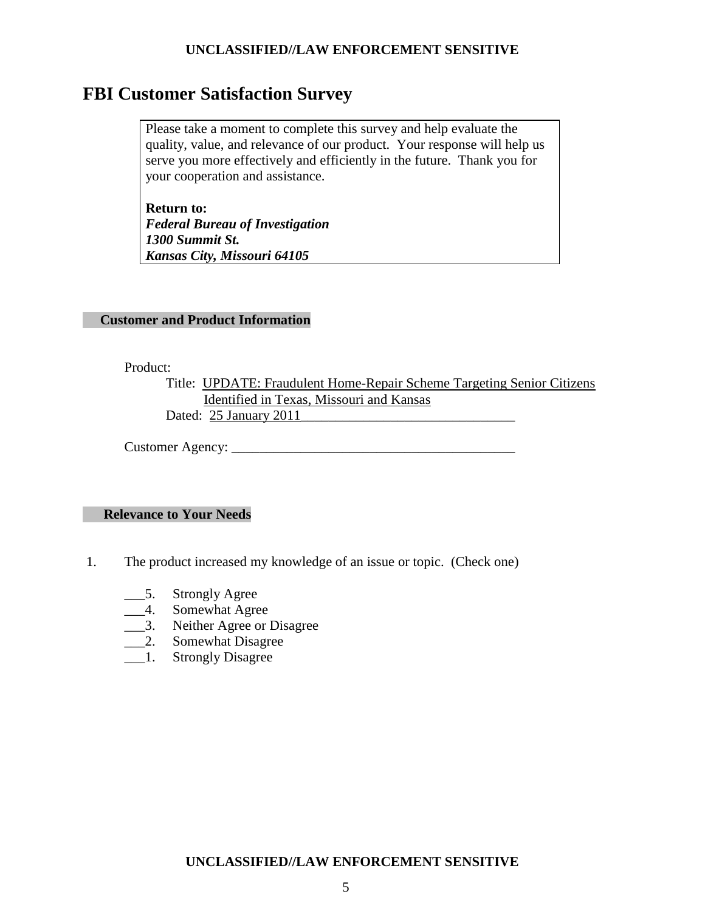## **FBI Customer Satisfaction Survey**

Please take a moment to complete this survey and help evaluate the quality, value, and relevance of our product. Your response will help us serve you more effectively and efficiently in the future. Thank you for your cooperation and assistance.

**Return to:** *Federal Bureau of Investigation 1300 Summit St. Kansas City, Missouri 64105*

#### **Customer and Product Information**

Product:

Title: UPDATE: Fraudulent Home-Repair Scheme Targeting Senior Citizens Identified in Texas, Missouri and Kansas Dated: 25 January 2011\_\_\_\_\_\_\_\_\_\_\_\_\_\_\_\_\_\_\_\_\_\_\_\_\_\_\_\_\_\_\_

Customer Agency: \_\_\_\_\_\_\_\_\_\_\_\_\_\_\_\_\_\_\_\_\_\_\_\_\_\_\_\_\_\_\_\_\_\_\_\_\_\_\_\_\_

#### **Relevance to Your Needs**

- 1. The product increased my knowledge of an issue or topic. (Check one)
	- \_\_\_5. Strongly Agree
	- \_\_\_4. Somewhat Agree
	- \_\_\_3. Neither Agree or Disagree
	- \_\_\_2. Somewhat Disagree
	- \_\_\_1. Strongly Disagree